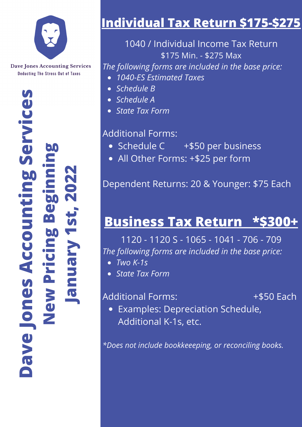

### **Dav eJ onesA ccountingS erv icesNewPricingBeginningJ anuary 1st,2022**

### **Individual Tax Return \$175-\$275**

1040 / Individual Income Tax Return \$175 Min. - \$275 Max

*The following forms are included in the base price:*

- *1040-ES Estimated Taxes*
- *Schedule B*
- *Schedule A*
- *State Tax Form*

### Additional Forms:

- Schedule C +\$50 per business
- All Other Forms: +\$25 per form

Dependent Returns: 20 & Younger: \$75 Each

### **Business Tax Return \*\$300+**

1120 - 1120 S - 1065 - 1041 - 706 - 709 *The following forms are included in the base price:*

- *Two K-1s*
- *State Tax Form*

Additional Forms:  $+$ \$50 Each

Examples: Depreciation Schedule, Additional K-1s, etc.

*\*Does not include bookkeeeping, or reconciling books.*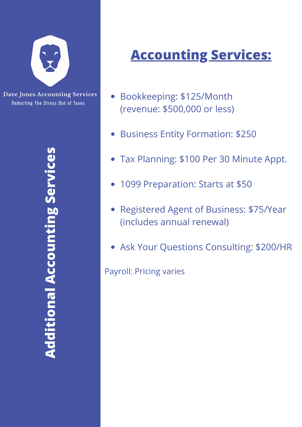

## **Accounting Services:**

- Bookkeeping: \$125/Month (revenue: \$500,000 or less)
- Business Entity Formation: \$250
- Tax Planning: \$100 Per 30 Minute Appt.
- 1099 Preparation: Starts at \$50
- Registered Agent of Business: \$75/Year (includes annual renewal)
- Ask Your Questions Consulting: \$200/HR

Payroll: Pricing varies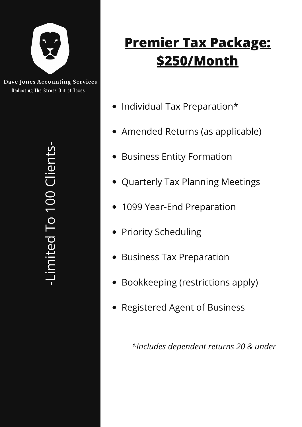

**-**

### **Premier Tax Package: \$250/Month**

- Individual Tax Preparation\*
- Amended Returns (as applicable)
- **Business Entity Formation**
- Quarterly Tax Planning Meetings
- 1099 Year-End Preparation
- Priority Scheduling
- **Business Tax Preparation**
- Bookkeeping (restrictions apply)
- Registered Agent of Business

*\*Includes dependent returns 20 & under*